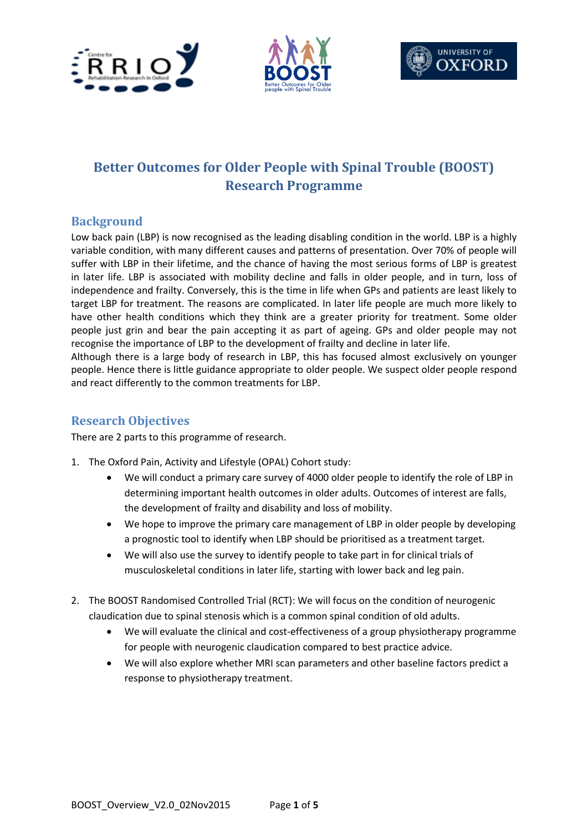





# **Better Outcomes for Older People with Spinal Trouble (BOOST) Research Programme**

## **Background**

Low back pain (LBP) is now recognised as the leading disabling condition in the world. LBP is a highly variable condition, with many different causes and patterns of presentation. Over 70% of people will suffer with LBP in their lifetime, and the chance of having the most serious forms of LBP is greatest in later life. LBP is associated with mobility decline and falls in older people, and in turn, loss of independence and frailty. Conversely, this is the time in life when GPs and patients are least likely to target LBP for treatment. The reasons are complicated. In later life people are much more likely to have other health conditions which they think are a greater priority for treatment. Some older people just grin and bear the pain accepting it as part of ageing. GPs and older people may not recognise the importance of LBP to the development of frailty and decline in later life.

Although there is a large body of research in LBP, this has focused almost exclusively on younger people. Hence there is little guidance appropriate to older people. We suspect older people respond and react differently to the common treatments for LBP.

## **Research Objectives**

There are 2 parts to this programme of research.

- 1. The Oxford Pain, Activity and Lifestyle (OPAL) Cohort study:
	- We will conduct a primary care survey of 4000 older people to identify the role of LBP in determining important health outcomes in older adults. Outcomes of interest are falls, the development of frailty and disability and loss of mobility.
	- We hope to improve the primary care management of LBP in older people by developing a prognostic tool to identify when LBP should be prioritised as a treatment target.
	- We will also use the survey to identify people to take part in for clinical trials of musculoskeletal conditions in later life, starting with lower back and leg pain.
- 2. The BOOST Randomised Controlled Trial (RCT): We will focus on the condition of neurogenic claudication due to spinal stenosis which is a common spinal condition of old adults.
	- We will evaluate the clinical and cost-effectiveness of a group physiotherapy programme for people with neurogenic claudication compared to best practice advice.
	- We will also explore whether MRI scan parameters and other baseline factors predict a response to physiotherapy treatment.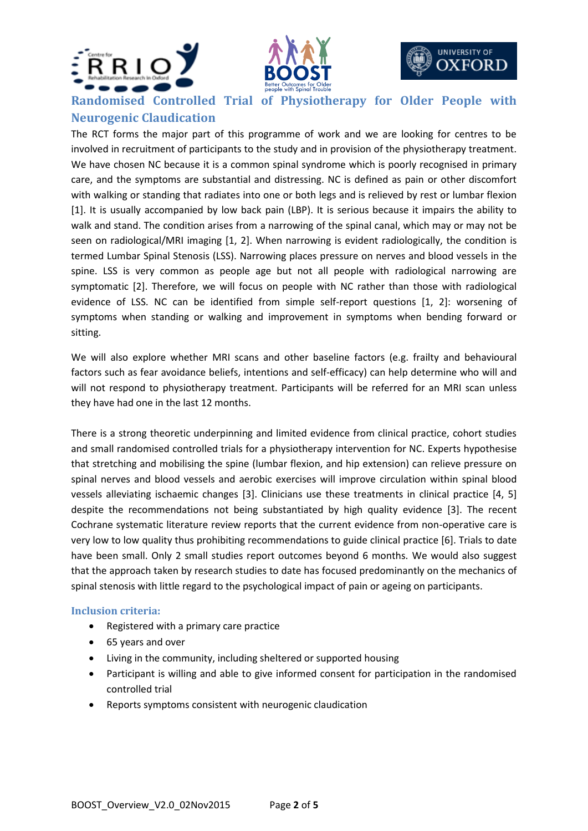





**Randomised Controlled Trial of Physiotherapy for Older People with** 

# **Neurogenic Claudication**

The RCT forms the major part of this programme of work and we are looking for centres to be involved in recruitment of participants to the study and in provision of the physiotherapy treatment. We have chosen NC because it is a common spinal syndrome which is poorly recognised in primary care, and the symptoms are substantial and distressing. NC is defined as pain or other discomfort with walking or standing that radiates into one or both legs and is relieved by rest or lumbar flexion [1]. It is usually accompanied by low back pain (LBP). It is serious because it impairs the ability to walk and stand. The condition arises from a narrowing of the spinal canal, which may or may not be seen on radiological/MRI imaging [1, 2]. When narrowing is evident radiologically, the condition is termed Lumbar Spinal Stenosis (LSS). Narrowing places pressure on nerves and blood vessels in the spine. LSS is very common as people age but not all people with radiological narrowing are symptomatic [2]. Therefore, we will focus on people with NC rather than those with radiological evidence of LSS. NC can be identified from simple self-report questions [1, 2]: worsening of symptoms when standing or walking and improvement in symptoms when bending forward or sitting.

We will also explore whether MRI scans and other baseline factors (e.g. frailty and behavioural factors such as fear avoidance beliefs, intentions and self-efficacy) can help determine who will and will not respond to physiotherapy treatment. Participants will be referred for an MRI scan unless they have had one in the last 12 months.

There is a strong theoretic underpinning and limited evidence from clinical practice, cohort studies and small randomised controlled trials for a physiotherapy intervention for NC. Experts hypothesise that stretching and mobilising the spine (lumbar flexion, and hip extension) can relieve pressure on spinal nerves and blood vessels and aerobic exercises will improve circulation within spinal blood vessels alleviating ischaemic changes [3]. Clinicians use these treatments in clinical practice [4, 5] despite the recommendations not being substantiated by high quality evidence [3]. The recent Cochrane systematic literature review reports that the current evidence from non-operative care is very low to low quality thus prohibiting recommendations to guide clinical practice [6]. Trials to date have been small. Only 2 small studies report outcomes beyond 6 months. We would also suggest that the approach taken by research studies to date has focused predominantly on the mechanics of spinal stenosis with little regard to the psychological impact of pain or ageing on participants.

### **Inclusion criteria:**

- Registered with a primary care practice
- 65 years and over
- Living in the community, including sheltered or supported housing
- Participant is willing and able to give informed consent for participation in the randomised controlled trial
- Reports symptoms consistent with neurogenic claudication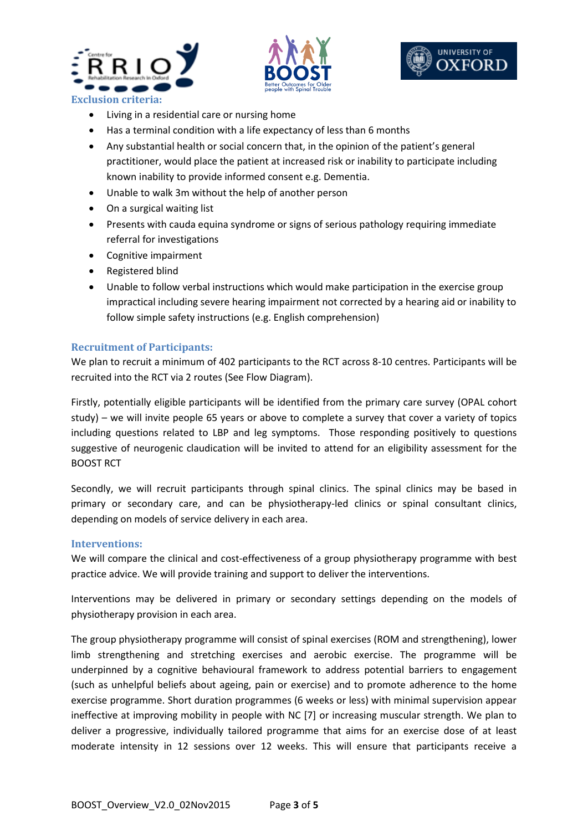





- Living in a residential care or nursing home
- Has a terminal condition with a life expectancy of less than 6 months
- Any substantial health or social concern that, in the opinion of the patient's general practitioner, would place the patient at increased risk or inability to participate including known inability to provide informed consent e.g. Dementia.
- Unable to walk 3m without the help of another person
- On a surgical waiting list
- Presents with cauda equina syndrome or signs of serious pathology requiring immediate referral for investigations
- Cognitive impairment
- Registered blind
- Unable to follow verbal instructions which would make participation in the exercise group impractical including severe hearing impairment not corrected by a hearing aid or inability to follow simple safety instructions (e.g. English comprehension)

#### **Recruitment of Participants:**

We plan to recruit a minimum of 402 participants to the RCT across 8-10 centres. Participants will be recruited into the RCT via 2 routes (See Flow Diagram).

Firstly, potentially eligible participants will be identified from the primary care survey (OPAL cohort study) – we will invite people 65 years or above to complete a survey that cover a variety of topics including questions related to LBP and leg symptoms. Those responding positively to questions suggestive of neurogenic claudication will be invited to attend for an eligibility assessment for the BOOST RCT

Secondly, we will recruit participants through spinal clinics. The spinal clinics may be based in primary or secondary care, and can be physiotherapy-led clinics or spinal consultant clinics, depending on models of service delivery in each area.

#### **Interventions:**

We will compare the clinical and cost-effectiveness of a group physiotherapy programme with best practice advice. We will provide training and support to deliver the interventions.

Interventions may be delivered in primary or secondary settings depending on the models of physiotherapy provision in each area.

The group physiotherapy programme will consist of spinal exercises (ROM and strengthening), lower limb strengthening and stretching exercises and aerobic exercise. The programme will be underpinned by a cognitive behavioural framework to address potential barriers to engagement (such as unhelpful beliefs about ageing, pain or exercise) and to promote adherence to the home exercise programme. Short duration programmes (6 weeks or less) with minimal supervision appear ineffective at improving mobility in people with NC [7] or increasing muscular strength. We plan to deliver a progressive, individually tailored programme that aims for an exercise dose of at least moderate intensity in 12 sessions over 12 weeks. This will ensure that participants receive a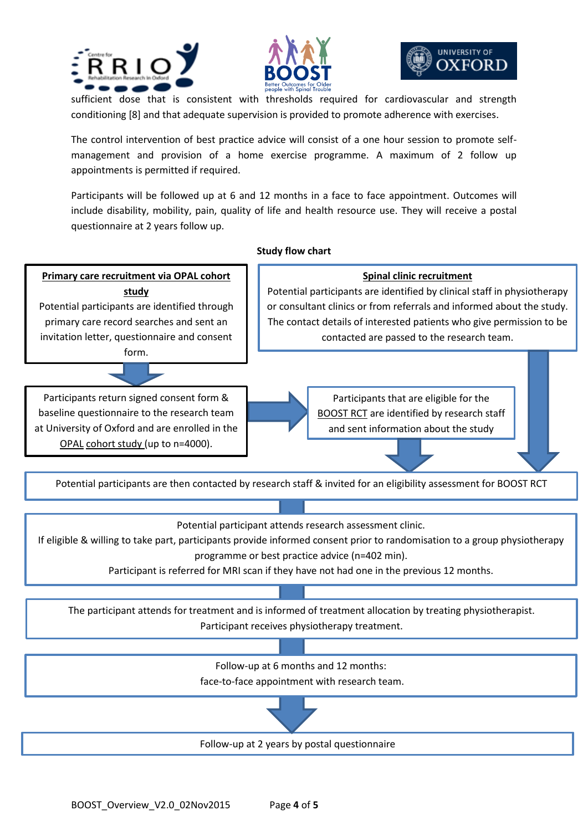





sufficient dose that is consistent with thresholds required for cardiovascular and strength conditioning [8] and that adequate supervision is provided to promote adherence with exercises.

The control intervention of best practice advice will consist of a one hour session to promote selfmanagement and provision of a home exercise programme. A maximum of 2 follow up appointments is permitted if required.

Participants will be followed up at 6 and 12 months in a face to face appointment. Outcomes will include disability, mobility, pain, quality of life and health resource use. They will receive a postal questionnaire at 2 years follow up.

#### **Study flow chart**